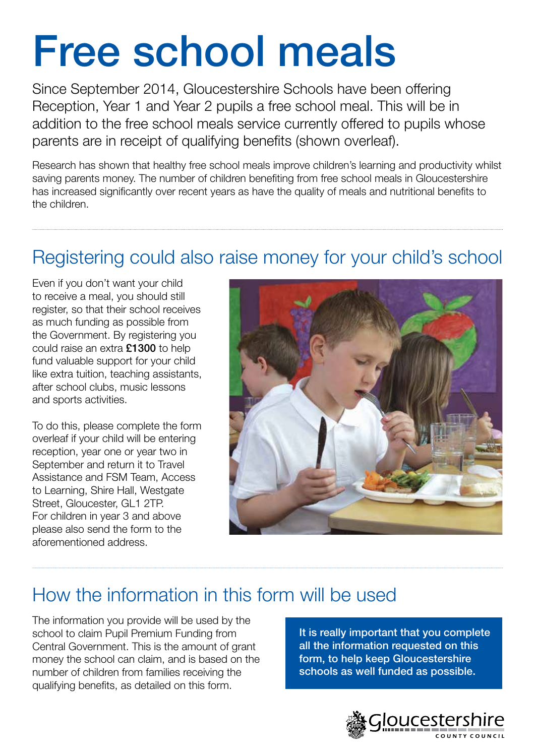# Free school meals

Since September 2014, Gloucestershire Schools have been offering Reception, Year 1 and Year 2 pupils a free school meal. This will be in addition to the free school meals service currently offered to pupils whose parents are in receipt of qualifying benefits (shown overleaf).

Research has shown that healthy free school meals improve children's learning and productivity whilst saving parents money. The number of children benefiting from free school meals in Gloucestershire has increased significantly over recent years as have the quality of meals and nutritional benefits to the children.

### Registering could also raise money for your child's school

Even if you don't want your child to receive a meal, you should still register, so that their school receives as much funding as possible from the Government. By registering you could raise an extra £1300 to help fund valuable support for your child like extra tuition, teaching assistants, after school clubs, music lessons and sports activities.

To do this, please complete the form overleaf if your child will be entering reception, year one or year two in September and return it to Travel Assistance and FSM Team, Access to Learning, Shire Hall, Westgate Street, Gloucester, GL1 2TP. For children in year 3 and above please also send the form to the aforementioned address.



## How the information in this form will be used

The information you provide will be used by the school to claim Pupil Premium Funding from Central Government. This is the amount of grant money the school can claim, and is based on the number of children from families receiving the qualifying benefits, as detailed on this form.

It is really important that you complete all the information requested on this form, to help keep Gloucestershire schools as well funded as possible.